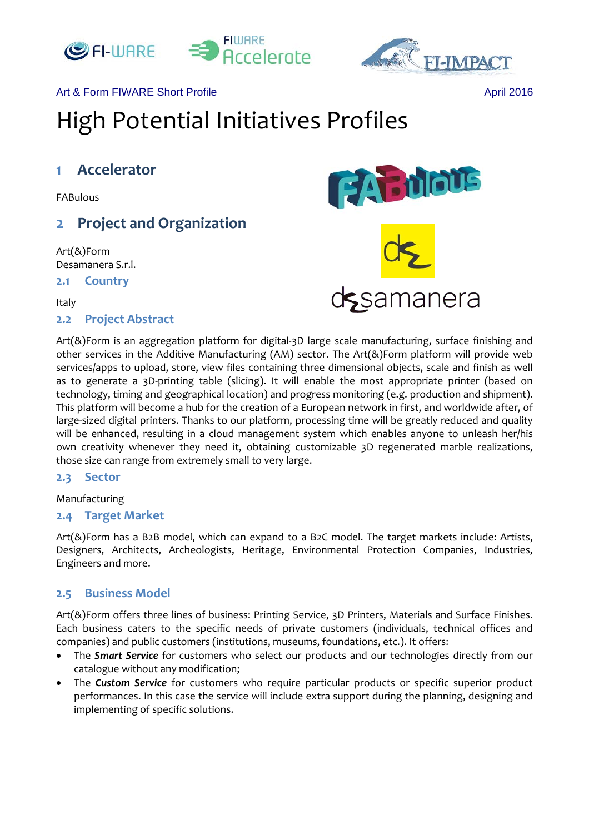



## Art & Form FIWARE Short Profile April 2016

# High Potential Initiatives Profiles

# **1 Accelerator**

FABulous

# **2 Project and Organization**

Art(&)Form Desamanera S.r.l.

**2.1 Country**

Italy

## **2.2 Project Abstract**



Art(&)Form is an aggregation platform for digital‐3D large scale manufacturing, surface finishing and other services in the Additive Manufacturing (AM) sector. The Art(&)Form platform will provide web services/apps to upload, store, view files containing three dimensional objects, scale and finish as well as to generate a 3D-printing table (slicing). It will enable the most appropriate printer (based on technology, timing and geographical location) and progress monitoring (e.g. production and shipment). This platform will become a hub for the creation of a European network in first, and worldwide after, of large-sized digital printers. Thanks to our platform, processing time will be greatly reduced and quality will be enhanced, resulting in a cloud management system which enables anyone to unleash her/his own creativity whenever they need it, obtaining customizable 3D regenerated marble realizations, those size can range from extremely small to very large.

#### **2.3 Sector**

Manufacturing

#### **2.4 Target Market**

Art(&)Form has a B2B model, which can expand to a B2C model. The target markets include: Artists, Designers, Architects, Archeologists, Heritage, Environmental Protection Companies, Industries, Engineers and more.

# **2.5 Business Model**

Art(&)Form offers three lines of business: Printing Service, 3D Printers, Materials and Surface Finishes. Each business caters to the specific needs of private customers (individuals, technical offices and companies) and public customers (institutions, museums, foundations, etc.). It offers:

- The *Smart Service* for customers who select our products and our technologies directly from our catalogue without any modification;
- The *Custom Service* for customers who require particular products or specific superior product performances. In this case the service will include extra support during the planning, designing and implementing of specific solutions.